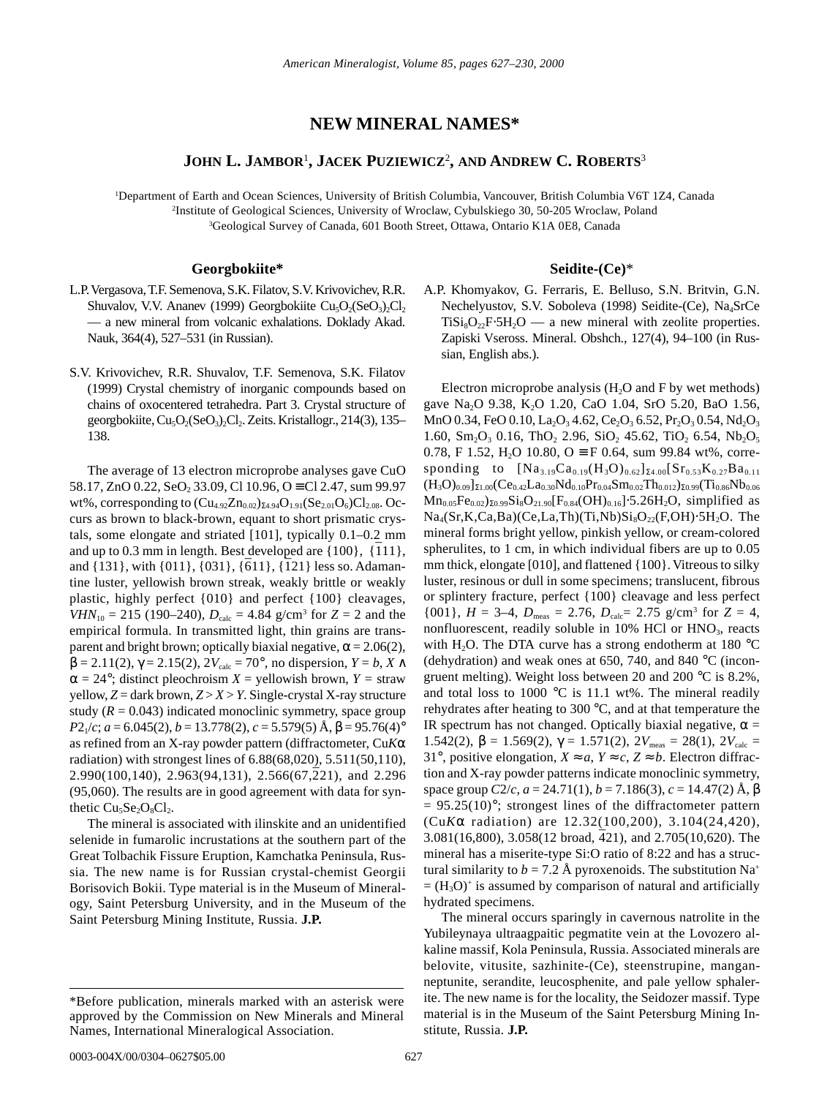# **NEW MINERAL NAMES\***

# **JOHN L. JAMBOR**<sup>1</sup> **, JACEK PUZIEWICZ**<sup>2</sup> **, AND ANDREW C. ROBERTS**<sup>3</sup>

1 Department of Earth and Ocean Sciences, University of British Columbia, Vancouver, British Columbia V6T 1Z4, Canada 2 Institute of Geological Sciences, University of Wroclaw, Cybulskiego 30, 50-205 Wroclaw, Poland 3 Geological Survey of Canada, 601 Booth Street, Ottawa, Ontario K1A 0E8, Canada

## **Georgbokiite\***

- L.P. Vergasova, T.F. Semenova, S.K. Filatov, S.V. Krivovichev, R.R. Shuvalov, V.V. Ananev (1999) Georgbokiite Cu<sub>5</sub>O<sub>2</sub>(SeO<sub>3</sub>)<sub>2</sub>Cl<sub>2</sub> — a new mineral from volcanic exhalations. Doklady Akad. Nauk, 364(4), 527–531 (in Russian).
- S.V. Krivovichev, R.R. Shuvalov, T.F. Semenova, S.K. Filatov (1999) Crystal chemistry of inorganic compounds based on chains of oxocentered tetrahedra. Part 3. Crystal structure of georgbokiite,  $Cu_5O_2(SeO_3)$ , Cl<sub>2</sub>. Zeits. Kristallogr., 214(3), 135– 138.

The average of 13 electron microprobe analyses gave CuO  $58.17$ ,  $ZnO$  0.22,  $SeO_2$  33.09, Cl 10.96,  $O \equiv Cl$  2.47, sum 99.97 wt%, corresponding to  $(Cu_{4.92}Zn_{0.02})_{\Sigma4.94}O_{1.91}(Se_{2.01}O_6)Cl_{2.08}$ . Occurs as brown to black-brown, equant to short prismatic crystals, some elongate and striated [101], typically 0.1–0.2 mm and up to 0.3 mm in length. Best developed are  $\{100\}$ ,  $\{111\}$ , and up to 0.5 mm in length. Best developed are  $\{100\}$ ,  $\{111\}$ , and  $\{131\}$ , with  $\{011\}$ ,  $\{031\}$ ,  $\{611\}$ ,  $\{121\}$  less so. Adamantine luster, yellowish brown streak, weakly brittle or weakly plastic, highly perfect {010} and perfect {100} cleavages, *VHN*<sub>10</sub> = 215 (190–240),  $D_{\text{calc}} = 4.84$  g/cm<sup>3</sup> for  $Z = 2$  and the empirical formula. In transmitted light, thin grains are transparent and bright brown; optically biaxial negative,  $\alpha = 2.06(2)$ ,  $β = 2.11(2)$ ,  $γ = 2.15(2)$ ,  $2V_{calc} = 70°$ , no dispersion,  $Y = b$ ,  $X \wedge$  $\alpha = 24^{\circ}$ ; distinct pleochroism *X* = yellowish brown, *Y* = straw yellow,  $Z =$  dark brown,  $Z > X > Y$ . Single-crystal X-ray structure study  $(R = 0.043)$  indicated monoclinic symmetry, space group  $P2_1/c$ ; *a* = 6.045(2), *b* = 13.778(2), *c* = 5.579(5) Å,  $\beta$  = 95.76(4)° as refined from an X-ray powder pattern (diffractometer, Cu*K*α radiation) with strongest lines of 6.88(68,020), 5.511(50,110),  $2.990(100, 140)$ ,  $2.963(94, 131)$ ,  $2.566(67, 221)$ , and  $2.296$ (95,060). The results are in good agreement with data for synthetic  $Cu<sub>5</sub>Se<sub>2</sub>O<sub>8</sub>Cl<sub>2</sub>$ .

The mineral is associated with ilinskite and an unidentified selenide in fumarolic incrustations at the southern part of the Great Tolbachik Fissure Eruption, Kamchatka Peninsula, Russia. The new name is for Russian crystal-chemist Georgii Borisovich Bokii. Type material is in the Museum of Mineralogy, Saint Petersburg University, and in the Museum of the Saint Petersburg Mining Institute, Russia. **J.P.**

## **Seidite-(Ce)**\*

A.P. Khomyakov, G. Ferraris, E. Belluso, S.N. Britvin, G.N. Nechelyustov, S.V. Soboleva (1998) Seidite-(Ce), Na4SrCe  $T_iS_i_8O_{22}F·5H_2O$  — a new mineral with zeolite properties. Zapiski Vseross. Mineral. Obshch., 127(4), 94–100 (in Russian, English abs.).

Electron microprobe analysis  $(H_2O)$  and F by wet methods) gave Na<sub>2</sub>O 9.38, K<sub>2</sub>O 1.20, CaO 1.04, SrO 5.20, BaO 1.56, MnO 0.34, FeO 0.10, La<sub>2</sub>O<sub>3</sub> 4.62, Ce<sub>2</sub>O<sub>3</sub> 6.52, Pr<sub>2</sub>O<sub>3</sub> 0.54, Nd<sub>2</sub>O<sub>3</sub> 1.60,  $Sm_2O_3$  0.16, Th $O_2$  2.96, SiO<sub>2</sub> 45.62, TiO<sub>2</sub> 6.54, Nb<sub>2</sub>O<sub>5</sub> 0.78, F 1.52, H<sub>2</sub>O 10.80, O  $\equiv$  F 0.64, sum 99.84 wt%, corresponding to  $[Na_{3.19}Ca_{0.19}(H_3O)_{0.62}]_{\Sigma 4.00}[Sr_{0.53}K_{0.27}Ba_{0.11}]$  $(H_3O)_{0.09}]_{\Sigma1.00}(Ce_{0.42}La_{0.30}Nd_{0.10}Pr_{0.04}Sm_{0.02}Th_{0.012})_{\Sigma0.99}(Ti_{0.86}Nb_{0.06}$  $Mn_{0.05}Fe_{0.02}S_{0.99}Si_8O_{21.90}F_{0.84}(OH)_{0.16}$ . 5.26H<sub>2</sub>O, simplified as  $Na_4(Sr,K,Ca,Ba)(Ce,La,Th)(Ti,Nb)Si_8O_{22}(F,OH)\cdot 5H_2O$ . The mineral forms bright yellow, pinkish yellow, or cream-colored spherulites, to 1 cm, in which individual fibers are up to 0.05 mm thick, elongate [010], and flattened {100}. Vitreous to silky luster, resinous or dull in some specimens; translucent, fibrous or splintery fracture, perfect {100} cleavage and less perfect  $\{001\}$ ,  $H = 3-4$ ,  $D_{\text{meas}} = 2.76$ ,  $D_{\text{calc}} = 2.75$  g/cm<sup>3</sup> for  $Z = 4$ , nonfluorescent, readily soluble in  $10\%$  HCl or  $HNO<sub>3</sub>$ , reacts with H<sub>2</sub>O. The DTA curve has a strong endotherm at 180  $^{\circ}$ C (dehydration) and weak ones at 650, 740, and 840 °C (incongruent melting). Weight loss between 20 and 200 °C is 8.2%, and total loss to 1000 °C is 11.1 wt%. The mineral readily rehydrates after heating to 300 °C, and at that temperature the IR spectrum has not changed. Optically biaxial negative,  $\alpha$  = 1.542(2), β = 1.569(2), γ = 1.571(2),  $2V_{meas}$  = 28(1),  $2V_{calc}$  = 31°, positive elongation,  $X \approx a$ ,  $Y \approx c$ ,  $Z \approx b$ . Electron diffraction and X-ray powder patterns indicate monoclinic symmetry, space group  $C2/c$ ,  $a = 24.71(1)$ ,  $b = 7.186(3)$ ,  $c = 14.47(2)$  Å,  $\beta$  $= 95.25(10)$ °; strongest lines of the diffractometer pattern (Cu*K*α radiation) are 12.32(100,200), 3.104(24,420),  $(8.800, 3.058(12 \text{ broad}, 421), \text{ and } 2.705(10,620). \text{ The}$ mineral has a miserite-type Si:O ratio of 8:22 and has a structural similarity to  $b = 7.2$  Å pyroxenoids. The substitution Na<sup>+</sup>  $= (H<sub>3</sub>O)<sup>+</sup>$  is assumed by comparison of natural and artificially hydrated specimens.

The mineral occurs sparingly in cavernous natrolite in the Yubileynaya ultraagpaitic pegmatite vein at the Lovozero alkaline massif, Kola Peninsula, Russia. Associated minerals are belovite, vitusite, sazhinite-(Ce), steenstrupine, manganneptunite, serandite, leucosphenite, and pale yellow sphalerite. The new name is for the locality, the Seidozer massif. Type material is in the Museum of the Saint Petersburg Mining Institute, Russia. **J.P.**

<sup>\*</sup>Before publication, minerals marked with an asterisk were approved by the Commission on New Minerals and Mineral Names, International Mineralogical Association.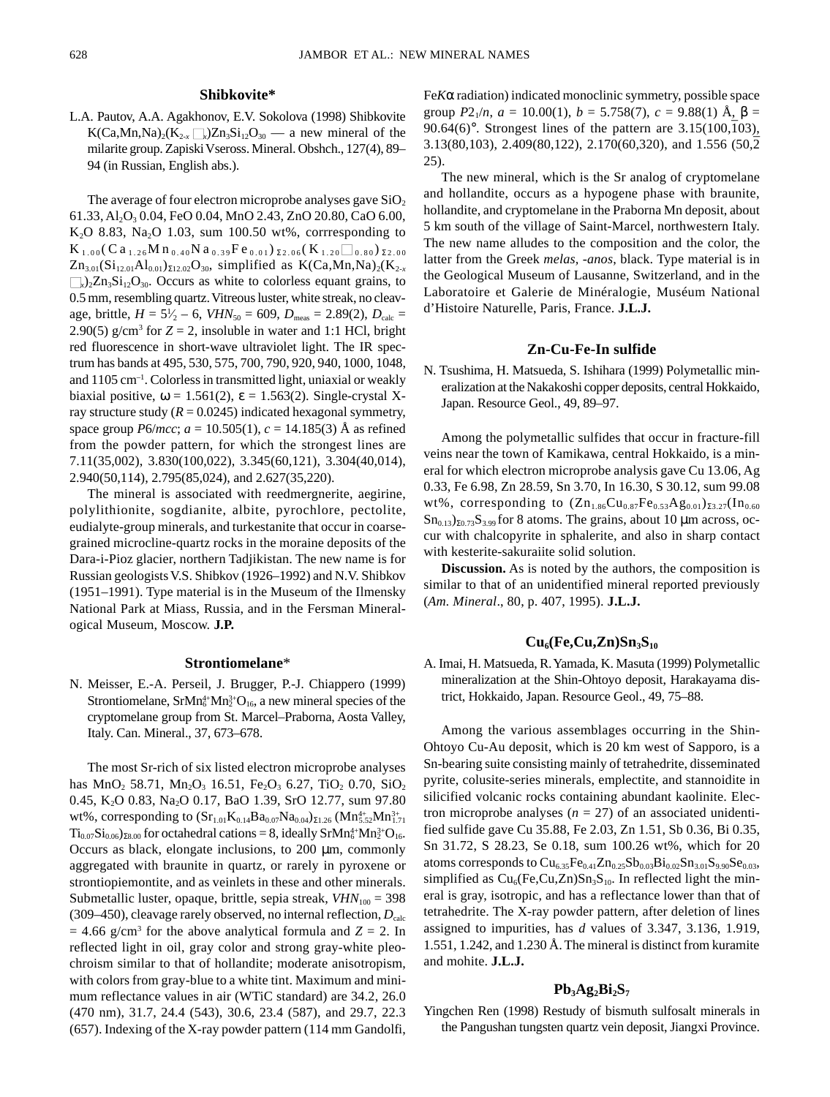#### **Shibkovite\***

L.A. Pautov, A.A. Agakhonov, E.V. Sokolova (1998) Shibkovite  $K(Ca, Mn,Na)_{2}(K_{2-x}\square_{x})Zn_{3}Si_{12}O_{30}$  — a new mineral of the milarite group. Zapiski Vseross. Mineral. Obshch., 127(4), 89– 94 (in Russian, English abs.).

The average of four electron microprobe analyses gave  $SiO<sub>2</sub>$ 61.33, Al2O3 0.04, FeO 0.04, MnO 2.43, ZnO 20.80, CaO 6.00, K<sub>2</sub>O 8.83, Na<sub>2</sub>O 1.03, sum 100.50 wt%, corrresponding to  $K_{1.00}$  (Ca<sub>1.26</sub>M n<sub>0.40</sub>N a<sub>0.39</sub>Fe<sub>0.01</sub>)  $_{\Sigma2.06}$  (K<sub>1.20</sub> $\Box$ <sub>0.80</sub>)  $_{\Sigma2.00}$  $Zn_{3.01}(Si_{12.01}Al_{0.01})_{\Sigma12.02}O_{30}$ , simplified as K(Ca,Mn,Na)<sub>2</sub>(K<sub>2-x</sub>  $\Box_{x}$ )<sub>2</sub>Zn<sub>3</sub>Si<sub>12</sub>O<sub>30</sub>. Occurs as white to colorless equant grains, to 0.5 mm, resembling quartz. Vitreous luster, white streak, no cleavage, brittle,  $H = 5\frac{1}{2} - 6$ ,  $VHN_{50} = 609$ ,  $D_{\text{meas}} = 2.89(2)$ ,  $D_{\text{calc}} =$ ⁄ 2.90(5)  $g/cm^3$  for  $Z = 2$ , insoluble in water and 1:1 HCl, bright red fluorescence in short-wave ultraviolet light. The IR spectrum has bands at 495, 530, 575, 700, 790, 920, 940, 1000, 1048, and 1105 cm–1. Colorless in transmitted light, uniaxial or weakly biaxial positive,  $\omega = 1.561(2)$ ,  $\varepsilon = 1.563(2)$ . Single-crystal Xray structure study  $(R = 0.0245)$  indicated hexagonal symmetry, space group *P*6/*mcc*; *a* = 10.505(1), *c* = 14.185(3) Å as refined from the powder pattern, for which the strongest lines are 7.11(35,002), 3.830(100,022), 3.345(60,121), 3.304(40,014), 2.940(50,114), 2.795(85,024), and 2.627(35,220).

The mineral is associated with reedmergnerite, aegirine, polylithionite, sogdianite, albite, pyrochlore, pectolite, eudialyte-group minerals, and turkestanite that occur in coarsegrained microcline-quartz rocks in the moraine deposits of the Dara-i-Pioz glacier, northern Tadjikistan. The new name is for Russian geologists V.S. Shibkov (1926–1992) and N.V. Shibkov (1951–1991). Type material is in the Museum of the Ilmensky National Park at Miass, Russia, and in the Fersman Mineralogical Museum, Moscow. **J.P.**

#### **Strontiomelane**\*

N. Meisser, E.-A. Perseil, J. Brugger, P.-J. Chiappero (1999) Strontiomelane,  $SrMn_6^{4+}Mn_2^{3+}O_{16}$ , a new mineral species of the cryptomelane group from St. Marcel–Praborna, Aosta Valley, Italy. Can. Mineral., 37, 673–678.

The most Sr-rich of six listed electron microprobe analyses has  $MnO_2$  58.71,  $Mn_2O_3$  16.51,  $Fe_2O_3$  6.27, TiO<sub>2</sub> 0.70, SiO<sub>2</sub> 0.45, K<sub>2</sub>O 0.83, Na<sub>2</sub>O 0.17, BaO 1.39, SrO 12.77, sum 97.80 wt%, corresponding to  $(Sr_{1.01}K_{0.14}Ba_{0.07}Na_{0.04})_{\Sigma1.26}$   $(Mn_{5.52}^{4+}Mn_{1.71}^{3+})$  $Ti_{0.07}Si_{0.06}$ )<sub> $28.00$ </sub> for octahedral cations = 8, ideally SrMn<sup>4+</sup>Mn<sup>3+</sup>O<sub>16</sub>. Occurs as black, elongate inclusions, to 200 µm, commonly aggregated with braunite in quartz, or rarely in pyroxene or strontiopiemontite, and as veinlets in these and other minerals. Submetallic luster, opaque, brittle, sepia streak,  $VHN<sub>100</sub> = 398$ (309–450), cleavage rarely observed, no internal reflection,  $D_{\text{calc}}$  $= 4.66$  g/cm<sup>3</sup> for the above analytical formula and  $Z = 2$ . In reflected light in oil, gray color and strong gray-white pleochroism similar to that of hollandite; moderate anisotropism, with colors from gray-blue to a white tint. Maximum and minimum reflectance values in air (WTiC standard) are 34.2, 26.0 (470 nm), 31.7, 24.4 (543), 30.6, 23.4 (587), and 29.7, 22.3 (657). Indexing of the X-ray powder pattern (114 mm Gandolfi, Fe*K*α radiation) indicated monoclinic symmetry, possible space group  $P2_1/n$ ,  $a = 10.00(1)$ ,  $b = 5.758(7)$ ,  $c = 9.88(1)$  Å,  $\beta =$ group  $T_{2}/n$ ,  $u = 10.00(1)$ ,  $v = 3.756(7)$ ,  $c = 3.66(1)$  A,  $p = 90.64(6)$ °. Strongest lines of the pattern are 3.15(100,103), 3.13(80,103), 2.409(80,122), 2.170(60,320), and 1.556 (50,2– 25).

The new mineral, which is the Sr analog of cryptomelane and hollandite, occurs as a hypogene phase with braunite, hollandite, and cryptomelane in the Praborna Mn deposit, about 5 km south of the village of Saint-Marcel, northwestern Italy. The new name alludes to the composition and the color, the latter from the Greek *melas, -anos*, black. Type material is in the Geological Museum of Lausanne, Switzerland, and in the Laboratoire et Galerie de Minéralogie, Muséum National d'Histoire Naturelle, Paris, France. **J.L.J.**

#### **Zn-Cu-Fe-In sulfide**

N. Tsushima, H. Matsueda, S. Ishihara (1999) Polymetallic mineralization at the Nakakoshi copper deposits, central Hokkaido, Japan. Resource Geol., 49, 89–97.

Among the polymetallic sulfides that occur in fracture-fill veins near the town of Kamikawa, central Hokkaido, is a mineral for which electron microprobe analysis gave Cu 13.06, Ag 0.33, Fe 6.98, Zn 28.59, Sn 3.70, In 16.30, S 30.12, sum 99.08 wt%, corresponding to  $(Zn_{1.86}Cu_{0.87}Fe_{0.53}Ag_{0.01})_{\Sigma_{3.27}}(In_{0.60}$  $\text{Sn}_{0.13}$ )<sub>Σ0.73</sub>S<sub>3.99</sub> for 8 atoms. The grains, about 10 µm across, occur with chalcopyrite in sphalerite, and also in sharp contact with kesterite-sakuraiite solid solution.

**Discussion.** As is noted by the authors, the composition is similar to that of an unidentified mineral reported previously (*Am. Mineral*., 80, p. 407, 1995). **J.L.J.**

# $Cu<sub>6</sub>(Fe,Cu,Zn)Sn<sub>3</sub>S<sub>10</sub>$

A. Imai, H. Matsueda, R. Yamada, K. Masuta (1999) Polymetallic mineralization at the Shin-Ohtoyo deposit, Harakayama district, Hokkaido, Japan. Resource Geol., 49, 75–88.

Among the various assemblages occurring in the Shin-Ohtoyo Cu-Au deposit, which is 20 km west of Sapporo, is a Sn-bearing suite consisting mainly of tetrahedrite, disseminated pyrite, colusite-series minerals, emplectite, and stannoidite in silicified volcanic rocks containing abundant kaolinite. Electron microprobe analyses  $(n = 27)$  of an associated unidentified sulfide gave Cu 35.88, Fe 2.03, Zn 1.51, Sb 0.36, Bi 0.35, Sn 31.72, S 28.23, Se 0.18, sum 100.26 wt%, which for 20 atoms corresponds to  $Cu_{6,35}Fe_{0,41}Zn_{0,25}Sb_{0,03}Bi_{0,02}Sn_{3,01}S_{9,90}Se_{0,03}$ simplified as  $Cu<sub>6</sub>(Fe, Cu, Zn)Sn<sub>3</sub>S<sub>10</sub>$ . In reflected light the mineral is gray, isotropic, and has a reflectance lower than that of tetrahedrite. The X-ray powder pattern, after deletion of lines assigned to impurities, has *d* values of 3.347, 3.136, 1.919, 1.551, 1.242, and 1.230 Å. The mineral is distinct from kuramite and mohite. **J.L.J.**

#### $Pb_3Ag_2Bi_2S_7$

Yingchen Ren (1998) Restudy of bismuth sulfosalt minerals in the Pangushan tungsten quartz vein deposit, Jiangxi Province.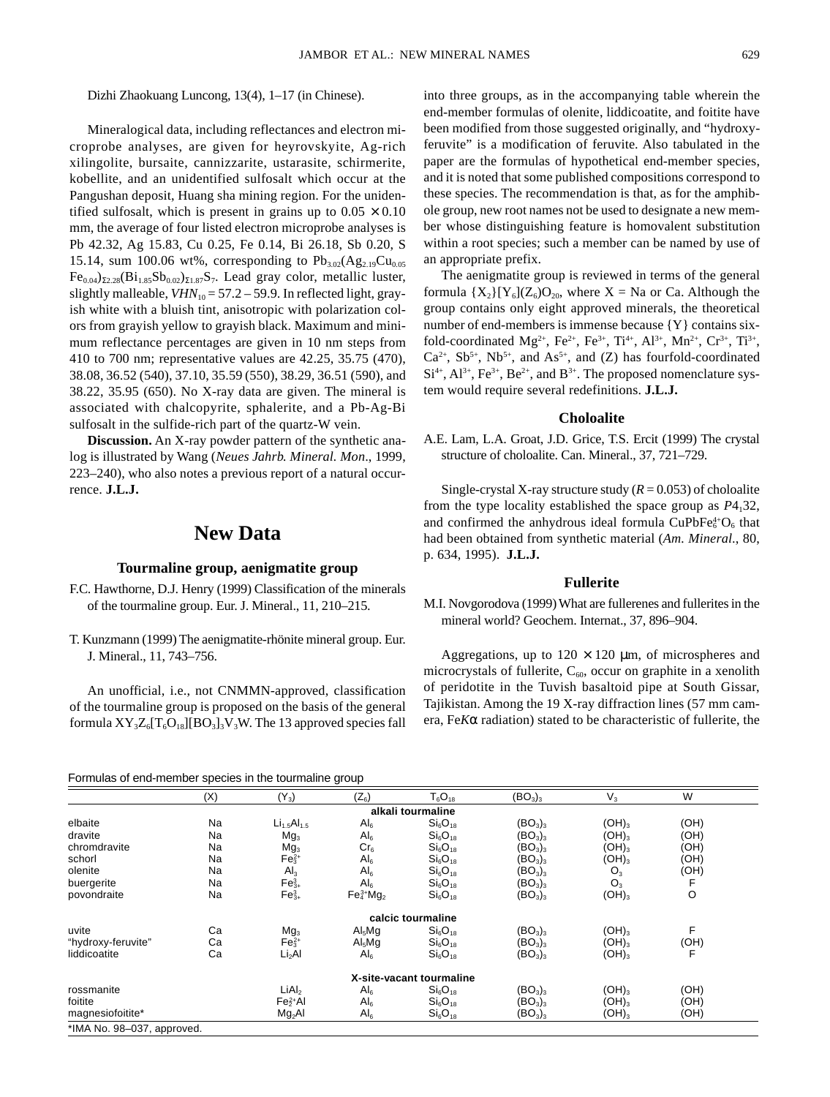Dizhi Zhaokuang Luncong, 13(4), 1–17 (in Chinese).

Mineralogical data, including reflectances and electron microprobe analyses, are given for heyrovskyite, Ag-rich xilingolite, bursaite, cannizzarite, ustarasite, schirmerite, kobellite, and an unidentified sulfosalt which occur at the Pangushan deposit, Huang sha mining region. For the unidentified sulfosalt, which is present in grains up to  $0.05 \times 0.10$ mm, the average of four listed electron microprobe analyses is Pb 42.32, Ag 15.83, Cu 0.25, Fe 0.14, Bi 26.18, Sb 0.20, S 15.14, sum 100.06 wt%, corresponding to  $Pb_{3.02}(Ag_{2.19}Cu_{0.05})$  $Fe_{0.04}\Sigma_{2.28}(Bi_{1.85}Sb_{0.02}\Sigma_{1.87}S_7$ . Lead gray color, metallic luster, slightly malleable,  $VHN_{10} = 57.2 - 59.9$ . In reflected light, grayish white with a bluish tint, anisotropic with polarization colors from grayish yellow to grayish black. Maximum and minimum reflectance percentages are given in 10 nm steps from 410 to 700 nm; representative values are 42.25, 35.75 (470), 38.08, 36.52 (540), 37.10, 35.59 (550), 38.29, 36.51 (590), and 38.22, 35.95 (650). No X-ray data are given. The mineral is associated with chalcopyrite, sphalerite, and a Pb-Ag-Bi sulfosalt in the sulfide-rich part of the quartz-W vein.

**Discussion.** An X-ray powder pattern of the synthetic analog is illustrated by Wang (*Neues Jahrb. Mineral. Mon*., 1999, 223–240), who also notes a previous report of a natural occurrence. **J.L.J.**

# **New Data**

#### **Tourmaline group, aenigmatite group**

- F.C. Hawthorne, D.J. Henry (1999) Classification of the minerals of the tourmaline group. Eur. J. Mineral., 11, 210–215.
- T. Kunzmann (1999) The aenigmatite-rhönite mineral group. Eur. J. Mineral., 11, 743–756.

An unofficial, i.e., not CNMMN-approved, classification of the tourmaline group is proposed on the basis of the general formula  $XY_3Z_6[T_6O_{18}][BO_3]_3V_3W$ . The 13 approved species fall

Formulas of end-member species in the tourmaline group

into three groups, as in the accompanying table wherein the end-member formulas of olenite, liddicoatite, and foitite have been modified from those suggested originally, and "hydroxyferuvite" is a modification of feruvite. Also tabulated in the paper are the formulas of hypothetical end-member species, and it is noted that some published compositions correspond to these species. The recommendation is that, as for the amphibole group, new root names not be used to designate a new member whose distinguishing feature is homovalent substitution within a root species; such a member can be named by use of an appropriate prefix.

The aenigmatite group is reviewed in terms of the general formula  ${X_2}[Y_6](Z_6)O_{20}$ , where  $X = Na$  or Ca. Although the group contains only eight approved minerals, the theoretical number of end-members is immense because {Y} contains sixfold-coordinated Mg<sup>2+</sup>, Fe<sup>2+</sup>, Fe<sup>3+</sup>, Ti<sup>4+</sup>, Al<sup>3+</sup>, Mn<sup>2+</sup>, Cr<sup>3+</sup>, Ti<sup>3+</sup>,  $Ca^{2+}$ ,  $Sb^{5+}$ ,  $Nb^{5+}$ , and  $As^{5+}$ , and  $(Z)$  has fourfold-coordinated  $Si<sup>4+</sup>, Al<sup>3+</sup>, Fe<sup>3+</sup>, Be<sup>2+</sup>, and B<sup>3+</sup>. The proposed nomenclature sys$ tem would require several redefinitions. **J.L.J.**

#### **Choloalite**

A.E. Lam, L.A. Groat, J.D. Grice, T.S. Ercit (1999) The crystal structure of choloalite. Can. Mineral., 37, 721–729.

Single-crystal X-ray structure study  $(R = 0.053)$  of choloalite from the type locality established the space group as *P*4132, and confirmed the anhydrous ideal formula  $CuPbFe<sub>6</sub><sup>4+</sup>O<sub>6</sub>$  that had been obtained from synthetic material (*Am. Mineral*., 80, p. 634, 1995). **J.L.J.**

### **Fullerite**

M.I. Novgorodova (1999) What are fullerenes and fullerites in the mineral world? Geochem. Internat., 37, 896–904.

Aggregations, up to  $120 \times 120$  µm, of microspheres and microcrystals of fullerite,  $C_{60}$ , occur on graphite in a xenolith of peridotite in the Tuvish basaltoid pipe at South Gissar, Tajikistan. Among the 19 X-ray diffraction lines (57 mm camera, Fe*K*α radiation) stated to be characteristic of fullerite, the

| Furnitules of end-filement species in the tournialine group |     |                    |                    |                                 |                                 |            |      |  |
|-------------------------------------------------------------|-----|--------------------|--------------------|---------------------------------|---------------------------------|------------|------|--|
|                                                             | (X) | $(Y_3)$            | $(Z_6)$            | $T_6O_{18}$                     | (BO <sub>3</sub> ) <sub>3</sub> | $V_3$      | W    |  |
|                                                             |     |                    |                    | alkali tourmaline               |                                 |            |      |  |
| elbaite                                                     | Na  | $Li_{1.5}Al_{1.5}$ | Al <sub>6</sub>    | Si <sub>6</sub> O <sub>18</sub> | (BO <sub>3</sub> ) <sub>3</sub> | $(OH)_3$   | (OH) |  |
| dravite                                                     | Na  | Mg <sub>3</sub>    | Al <sub>6</sub>    | Si <sub>6</sub> O <sub>18</sub> | $(BO_3)_3$                      | $(OH)_{3}$ | (OH) |  |
| chromdravite                                                | Na  | Mg <sub>3</sub>    | Cr <sub>6</sub>    | Si <sub>6</sub> O <sub>18</sub> | $(BO_3)_3$                      | $(OH)_{3}$ | (OH) |  |
| schorl                                                      | Na  | $Fe32+$            | Al <sub>6</sub>    | $Si_6O_{18}$                    | (BO <sub>3</sub> ) <sub>3</sub> | $(OH)_3$   | (OH) |  |
| olenite                                                     | Na  | Al <sub>3</sub>    | Al <sub>6</sub>    | Si <sub>6</sub> O <sub>18</sub> | $(BO_3)_3$                      | $O_3$      | (OH) |  |
| buergerite                                                  | Na  | $Fe_{3+}^3$        | Al <sub>6</sub>    | Si <sub>6</sub> O <sub>18</sub> | $(BO_3)_3$                      | $O_3$      | F    |  |
| povondraite                                                 | Na  | $Fe_{3+}^3$        | $Fe3+4Mg2$         | $Si_6O_{18}$                    | (BO <sub>3</sub> ) <sub>3</sub> | $(OH)_3$   | O    |  |
|                                                             |     |                    |                    | calcic tourmaline               |                                 |            |      |  |
| uvite                                                       | Ca  | Mg <sub>3</sub>    | Al <sub>5</sub> Mg | Si <sub>6</sub> O <sub>18</sub> | (BO <sub>3</sub> ) <sub>3</sub> | $(OH)_3$   | F    |  |
| "hydroxy-feruvite"                                          | Ca  | $Fe32+$            | Al <sub>5</sub> Mg | Si <sub>6</sub> O <sub>18</sub> | $(BO_3)_3$                      | $(OH)_{3}$ | (OH) |  |
| liddicoatite                                                | Ca  | Li <sub>2</sub> Al | Al <sub>6</sub>    | Si <sub>6</sub> O <sub>18</sub> | (BO <sub>3</sub> ) <sub>3</sub> | $(OH)_3$   | F    |  |
|                                                             |     |                    |                    | X-site-vacant tourmaline        |                                 |            |      |  |
| rossmanite                                                  |     | LiAI <sub>2</sub>  | Al <sub>6</sub>    | Si <sub>6</sub> O <sub>18</sub> | $(BO_3)_3$                      | $(OH)_3$   | (OH) |  |
| foitite                                                     |     | $Fe22+ Al$         | Al <sub>6</sub>    | Si <sub>6</sub> O <sub>18</sub> | (BO <sub>3</sub> ) <sub>3</sub> | $(OH)_3$   | (OH) |  |
| magnesiofoitite*                                            |     | Mg <sub>2</sub> Al | Al <sub>6</sub>    | $Si_6O_{18}$                    | (BO <sub>3</sub> ) <sub>3</sub> | $(OH)_3$   | (OH) |  |
| *IMA No. 98-037, approved.                                  |     |                    |                    |                                 |                                 |            |      |  |